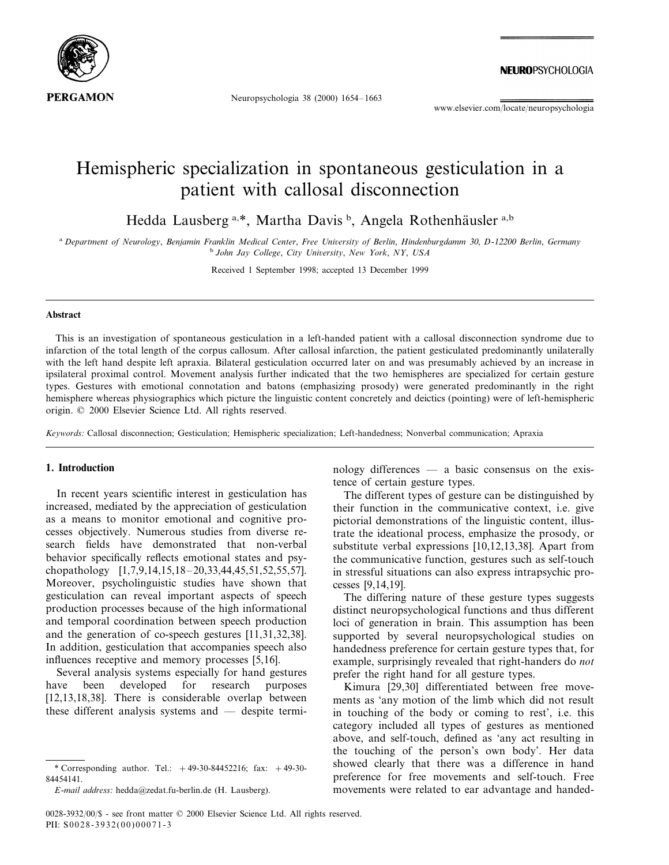

Neuropsychologia 38 (2000) 1654–1663

NEUROPSYCHOLOGIA

www.elsevier.com/locate/neuropsychologia

# Hemispheric specialization in spontaneous gesticulation in a patient with callosal disconnection

Hedda Lausberg<sup>a,\*</sup>, Martha Davis<sup>b</sup>, Angela Rothenhäusler<sup>a,b</sup>

<sup>a</sup> Department of Neurology, Benjamin Franklin Medical Center, Free University of Berlin, Hindenburgdamm 30, D-12200 Berlin, Germany  $^{\rm b}$  John Jay College, City University, New York, NY, USA

Received 1 September 1998; accepted 13 December 1999

#### **Abstract**

This is an investigation of spontaneous gesticulation in a left-handed patient with a callosal disconnection syndrome due to infarction of the total length of the corpus callosum. After callosal infarction, the patient gesticulated predominantly unilaterally with the left hand despite left apraxia. Bilateral gesticulation occurred later on and was presumably achieved by an increase in ipsilateral proximal control. Movement analysis further indicated that the two hemispheres are specialized for certain gesture types. Gestures with emotional connotation and batons (emphasizing prosody) were generated predominantly in the right hemisphere whereas physiographics which picture the linguistic content concretely and deictics (pointing) were of left-hemispheric origin. © 2000 Elsevier Science Ltd. All rights reserved.

*Keywords*: Callosal disconnection; Gesticulation; Hemispheric specialization; Left-handedness; Nonverbal communication; Apraxia

# **1. Introduction**

In recent years scientific interest in gesticulation has increased, mediated by the appreciation of gesticulation as a means to monitor emotional and cognitive processes objectively. Numerous studies from diverse research fields have demonstrated that non-verbal behavior specifically reflects emotional states and psychopathology [1,7,9,14,15,18–20,33,44,45,51,52,55,57]. Moreover, psycholinguistic studies have shown that gesticulation can reveal important aspects of speech production processes because of the high informational and temporal coordination between speech production and the generation of co-speech gestures [11,31,32,38]. In addition, gesticulation that accompanies speech also influences receptive and memory processes [5,16].

Several analysis systems especially for hand gestures<br>we been developed for research purposes have been developed for research [12,13,18,38]. There is considerable overlap between these different analysis systems and — despite terminology differences — a basic consensus on the existence of certain gesture types.

The different types of gesture can be distinguished by their function in the communicative context, i.e. give pictorial demonstrations of the linguistic content, illustrate the ideational process, emphasize the prosody, or substitute verbal expressions [10,12,13,38]. Apart from the communicative function, gestures such as self-touch in stressful situations can also express intrapsychic processes [9,14,19].

The differing nature of these gesture types suggests distinct neuropsychological functions and thus different loci of generation in brain. This assumption has been supported by several neuropsychological studies on handedness preference for certain gesture types that, for example, surprisingly revealed that right-handers do *not* prefer the right hand for all gesture types.

Kimura [29,30] differentiated between free movements as 'any motion of the limb which did not result in touching of the body or coming to rest', i.e. this category included all types of gestures as mentioned above, and self-touch, defined as 'any act resulting in the touching of the person's own body'. Her data showed clearly that there was a difference in hand preference for free movements and self-touch. Free movements were related to ear advantage and handed-

<sup>\*</sup> Corresponding author. Tel.:  $+49-30-84452216$ ; fax:  $+49-30-$ 84454141.

*E*-*mail address*: hedda@zedat.fu-berlin.de (H. Lausberg).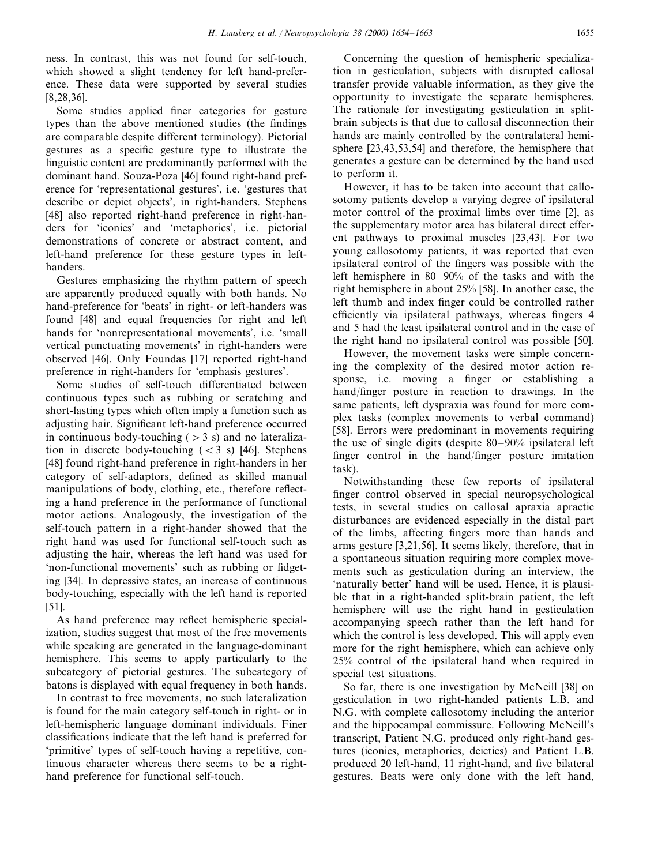ness. In contrast, this was not found for self-touch, which showed a slight tendency for left hand-preference. These data were supported by several studies [8,28,36].

Some studies applied finer categories for gesture types than the above mentioned studies (the findings are comparable despite different terminology). Pictorial gestures as a specific gesture type to illustrate the linguistic content are predominantly performed with the dominant hand. Souza-Poza [46] found right-hand preference for 'representational gestures', i.e. 'gestures that describe or depict objects', in right-handers. Stephens [48] also reported right-hand preference in right-handers for 'iconics' and 'metaphorics', i.e. pictorial demonstrations of concrete or abstract content, and left-hand preference for these gesture types in lefthanders.

Gestures emphasizing the rhythm pattern of speech are apparently produced equally with both hands. No hand-preference for 'beats' in right- or left-handers was found [48] and equal frequencies for right and left hands for 'nonrepresentational movements', i.e. 'small vertical punctuating movements' in right-handers were observed [46]. Only Foundas [17] reported right-hand preference in right-handers for 'emphasis gestures'.

Some studies of self-touch differentiated between continuous types such as rubbing or scratching and short-lasting types which often imply a function such as adjusting hair. Significant left-hand preference occurred in continuous body-touching ( $>$ 3 s) and no lateralization in discrete body-touching  $(< 3 \text{ s})$  [46]. Stephens [48] found right-hand preference in right-handers in her category of self-adaptors, defined as skilled manual manipulations of body, clothing, etc., therefore reflecting a hand preference in the performance of functional motor actions. Analogously, the investigation of the self-touch pattern in a right-hander showed that the right hand was used for functional self-touch such as adjusting the hair, whereas the left hand was used for 'non-functional movements' such as rubbing or fidgeting [34]. In depressive states, an increase of continuous body-touching, especially with the left hand is reported [51].

As hand preference may reflect hemispheric specialization, studies suggest that most of the free movements while speaking are generated in the language-dominant hemisphere. This seems to apply particularly to the subcategory of pictorial gestures. The subcategory of batons is displayed with equal frequency in both hands.

In contrast to free movements, no such lateralization is found for the main category self-touch in right- or in left-hemispheric language dominant individuals. Finer classifications indicate that the left hand is preferred for 'primitive' types of self-touch having a repetitive, continuous character whereas there seems to be a righthand preference for functional self-touch.

Concerning the question of hemispheric specialization in gesticulation, subjects with disrupted callosal transfer provide valuable information, as they give the opportunity to investigate the separate hemispheres. The rationale for investigating gesticulation in splitbrain subjects is that due to callosal disconnection their hands are mainly controlled by the contralateral hemisphere [23,43,53,54] and therefore, the hemisphere that generates a gesture can be determined by the hand used to perform it.

However, it has to be taken into account that callosotomy patients develop a varying degree of ipsilateral motor control of the proximal limbs over time [2], as the supplementary motor area has bilateral direct efferent pathways to proximal muscles [23,43]. For two young callosotomy patients, it was reported that even ipsilateral control of the fingers was possible with the left hemisphere in 80–90% of the tasks and with the right hemisphere in about 25% [58]. In another case, the left thumb and index finger could be controlled rather efficiently via ipsilateral pathways, whereas fingers 4 and 5 had the least ipsilateral control and in the case of the right hand no ipsilateral control was possible [50].

However, the movement tasks were simple concerning the complexity of the desired motor action response, i.e. moving a finger or establishing a hand/finger posture in reaction to drawings. In the same patients, left dyspraxia was found for more complex tasks (complex movements to verbal command) [58]. Errors were predominant in movements requiring the use of single digits (despite 80–90% ipsilateral left finger control in the hand/finger posture imitation task).

Notwithstanding these few reports of ipsilateral finger control observed in special neuropsychological tests, in several studies on callosal apraxia apractic disturbances are evidenced especially in the distal part of the limbs, affecting fingers more than hands and arms gesture [3,21,56]. It seems likely, therefore, that in a spontaneous situation requiring more complex movements such as gesticulation during an interview, the 'naturally better' hand will be used. Hence, it is plausible that in a right-handed split-brain patient, the left hemisphere will use the right hand in gesticulation accompanying speech rather than the left hand for which the control is less developed. This will apply even more for the right hemisphere, which can achieve only 25% control of the ipsilateral hand when required in special test situations.

So far, there is one investigation by McNeill [38] on gesticulation in two right-handed patients L.B. and N.G. with complete callosotomy including the anterior and the hippocampal commissure. Following McNeill's transcript, Patient N.G. produced only right-hand gestures (iconics, metaphorics, deictics) and Patient L.B. produced 20 left-hand, 11 right-hand, and five bilateral gestures. Beats were only done with the left hand,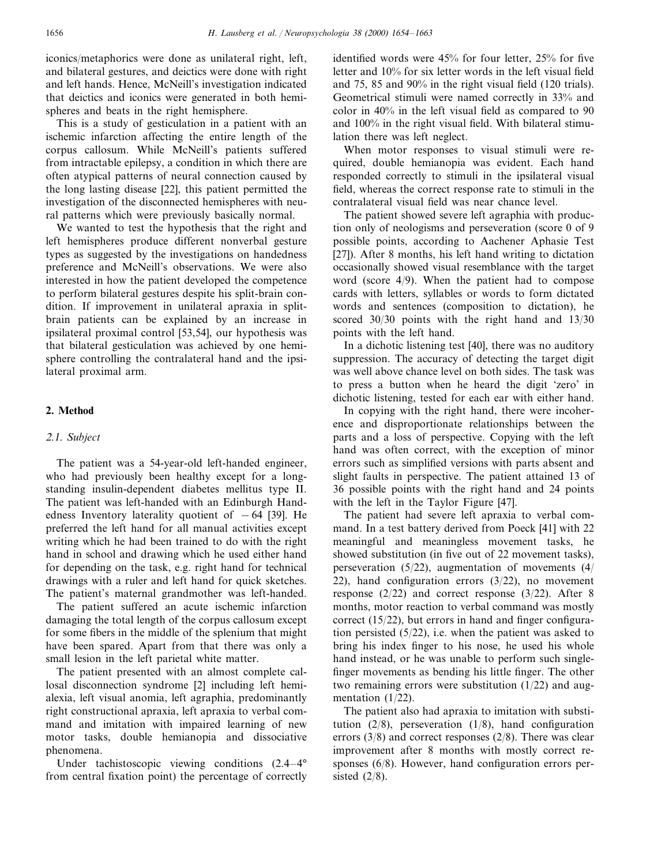iconics/metaphorics were done as unilateral right, left, and bilateral gestures, and deictics were done with right and left hands. Hence, McNeill's investigation indicated that deictics and iconics were generated in both hemispheres and beats in the right hemisphere.

This is a study of gesticulation in a patient with an ischemic infarction affecting the entire length of the corpus callosum. While McNeill's patients suffered from intractable epilepsy, a condition in which there are often atypical patterns of neural connection caused by the long lasting disease [22], this patient permitted the investigation of the disconnected hemispheres with neural patterns which were previously basically normal.

We wanted to test the hypothesis that the right and left hemispheres produce different nonverbal gesture types as suggested by the investigations on handedness preference and McNeill's observations. We were also interested in how the patient developed the competence to perform bilateral gestures despite his split-brain condition. If improvement in unilateral apraxia in splitbrain patients can be explained by an increase in ipsilateral proximal control [53,54], our hypothesis was that bilateral gesticulation was achieved by one hemisphere controlling the contralateral hand and the ipsilateral proximal arm.

## **2. Method**

## <sup>2</sup>.1. *Subject*

The patient was a 54-year-old left-handed engineer, who had previously been healthy except for a longstanding insulin-dependent diabetes mellitus type II. The patient was left-handed with an Edinburgh Handedness Inventory laterality quotient of  $-64$  [39]. He preferred the left hand for all manual activities except writing which he had been trained to do with the right hand in school and drawing which he used either hand for depending on the task, e.g. right hand for technical drawings with a ruler and left hand for quick sketches. The patient's maternal grandmother was left-handed.

The patient suffered an acute ischemic infarction damaging the total length of the corpus callosum except for some fibers in the middle of the splenium that might have been spared. Apart from that there was only a small lesion in the left parietal white matter.

The patient presented with an almost complete callosal disconnection syndrome [2] including left hemialexia, left visual anomia, left agraphia, predominantly right constructional apraxia, left apraxia to verbal command and imitation with impaired learning of new motor tasks, double hemianopia and dissociative phenomena.

Under tachistoscopic viewing conditions (2.4–4° from central fixation point) the percentage of correctly identified words were 45% for four letter, 25% for five letter and 10% for six letter words in the left visual field and 75, 85 and 90% in the right visual field (120 trials). Geometrical stimuli were named correctly in 33% and color in 40% in the left visual field as compared to 90 and 100% in the right visual field. With bilateral stimulation there was left neglect.

When motor responses to visual stimuli were required, double hemianopia was evident. Each hand responded correctly to stimuli in the ipsilateral visual field, whereas the correct response rate to stimuli in the contralateral visual field was near chance level.

The patient showed severe left agraphia with production only of neologisms and perseveration (score 0 of 9 possible points, according to Aachener Aphasie Test [27]). After 8 months, his left hand writing to dictation occasionally showed visual resemblance with the target word (score 4/9). When the patient had to compose cards with letters, syllables or words to form dictated words and sentences (composition to dictation), he scored 30/30 points with the right hand and 13/30 points with the left hand.

In a dichotic listening test [40], there was no auditory suppression. The accuracy of detecting the target digit was well above chance level on both sides. The task was to press a button when he heard the digit 'zero' in dichotic listening, tested for each ear with either hand.

In copying with the right hand, there were incoherence and disproportionate relationships between the parts and a loss of perspective. Copying with the left hand was often correct, with the exception of minor errors such as simplified versions with parts absent and slight faults in perspective. The patient attained 13 of 36 possible points with the right hand and 24 points with the left in the Taylor Figure [47].

The patient had severe left apraxia to verbal command. In a test battery derived from Poeck [41] with 22 meaningful and meaningless movement tasks, he showed substitution (in five out of 22 movement tasks), perseveration (5/22), augmentation of movements (4/ 22), hand configuration errors (3/22), no movement response  $(2/22)$  and correct response  $(3/22)$ . After 8 months, motor reaction to verbal command was mostly correct (15/22), but errors in hand and finger configuration persisted (5/22), i.e. when the patient was asked to bring his index finger to his nose, he used his whole hand instead, or he was unable to perform such singlefinger movements as bending his little finger. The other two remaining errors were substitution  $(1/22)$  and augmentation (1/22).

The patient also had apraxia to imitation with substitution  $(2/8)$ , perseveration  $(1/8)$ , hand configuration errors  $(3/8)$  and correct responses  $(2/8)$ . There was clear improvement after 8 months with mostly correct responses (6/8). However, hand configuration errors persisted (2/8).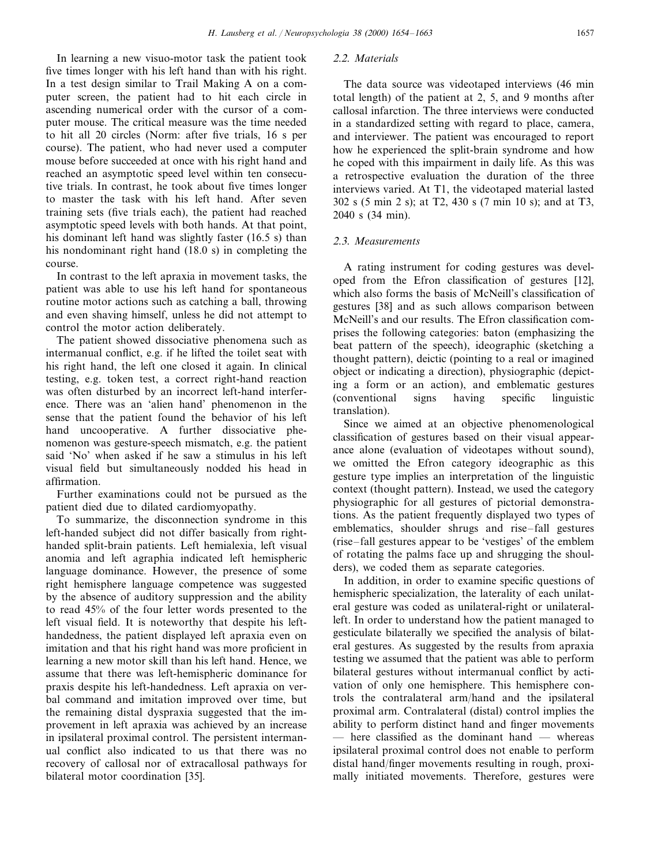In learning a new visuo-motor task the patient took five times longer with his left hand than with his right. In a test design similar to Trail Making A on a computer screen, the patient had to hit each circle in ascending numerical order with the cursor of a computer mouse. The critical measure was the time needed to hit all 20 circles (Norm: after five trials, 16 s per course). The patient, who had never used a computer mouse before succeeded at once with his right hand and reached an asymptotic speed level within ten consecutive trials. In contrast, he took about five times longer to master the task with his left hand. After seven training sets (five trials each), the patient had reached asymptotic speed levels with both hands. At that point, his dominant left hand was slightly faster (16.5 s) than his nondominant right hand (18.0 s) in completing the course.

In contrast to the left apraxia in movement tasks, the patient was able to use his left hand for spontaneous routine motor actions such as catching a ball, throwing and even shaving himself, unless he did not attempt to control the motor action deliberately.

The patient showed dissociative phenomena such as intermanual conflict, e.g. if he lifted the toilet seat with his right hand, the left one closed it again. In clinical testing, e.g. token test, a correct right-hand reaction was often disturbed by an incorrect left-hand interference. There was an 'alien hand' phenomenon in the sense that the patient found the behavior of his left hand uncooperative. A further dissociative phenomenon was gesture-speech mismatch, e.g. the patient said 'No' when asked if he saw a stimulus in his left visual field but simultaneously nodded his head in affirmation.

Further examinations could not be pursued as the patient died due to dilated cardiomyopathy.

To summarize, the disconnection syndrome in this left-handed subject did not differ basically from righthanded split-brain patients. Left hemialexia, left visual anomia and left agraphia indicated left hemispheric language dominance. However, the presence of some right hemisphere language competence was suggested by the absence of auditory suppression and the ability to read 45% of the four letter words presented to the left visual field. It is noteworthy that despite his lefthandedness, the patient displayed left apraxia even on imitation and that his right hand was more proficient in learning a new motor skill than his left hand. Hence, we assume that there was left-hemispheric dominance for praxis despite his left-handedness. Left apraxia on verbal command and imitation improved over time, but the remaining distal dyspraxia suggested that the improvement in left apraxia was achieved by an increase in ipsilateral proximal control. The persistent intermanual conflict also indicated to us that there was no recovery of callosal nor of extracallosal pathways for bilateral motor coordination [35].

#### <sup>2</sup>.2. *Materials*

The data source was videotaped interviews (46 min total length) of the patient at 2, 5, and 9 months after callosal infarction. The three interviews were conducted in a standardized setting with regard to place, camera, and interviewer. The patient was encouraged to report how he experienced the split-brain syndrome and how he coped with this impairment in daily life. As this was a retrospective evaluation the duration of the three interviews varied. At T1, the videotaped material lasted 302 s (5 min 2 s); at T2, 430 s (7 min 10 s); and at T3, 2040 s (34 min).

## <sup>2</sup>.3. *Measurements*

A rating instrument for coding gestures was developed from the Efron classification of gestures [12], which also forms the basis of McNeill's classification of gestures [38] and as such allows comparison between McNeill's and our results. The Efron classification comprises the following categories: baton (emphasizing the beat pattern of the speech), ideographic (sketching a thought pattern), deictic (pointing to a real or imagined object or indicating a direction), physiographic (depicting a form or an action), and emblematic gestures (conventional signs having specific linguistic translation).

Since we aimed at an objective phenomenological classification of gestures based on their visual appearance alone (evaluation of videotapes without sound), we omitted the Efron category ideographic as this gesture type implies an interpretation of the linguistic context (thought pattern). Instead, we used the category physiographic for all gestures of pictorial demonstrations. As the patient frequently displayed two types of emblematics, shoulder shrugs and rise–fall gestures (rise–fall gestures appear to be 'vestiges' of the emblem of rotating the palms face up and shrugging the shoulders), we coded them as separate categories.

In addition, in order to examine specific questions of hemispheric specialization, the laterality of each unilateral gesture was coded as unilateral-right or unilateralleft. In order to understand how the patient managed to gesticulate bilaterally we specified the analysis of bilateral gestures. As suggested by the results from apraxia testing we assumed that the patient was able to perform bilateral gestures without intermanual conflict by activation of only one hemisphere. This hemisphere controls the contralateral arm/hand and the ipsilateral proximal arm. Contralateral (distal) control implies the ability to perform distinct hand and finger movements — here classified as the dominant hand — whereas ipsilateral proximal control does not enable to perform distal hand/finger movements resulting in rough, proximally initiated movements. Therefore, gestures were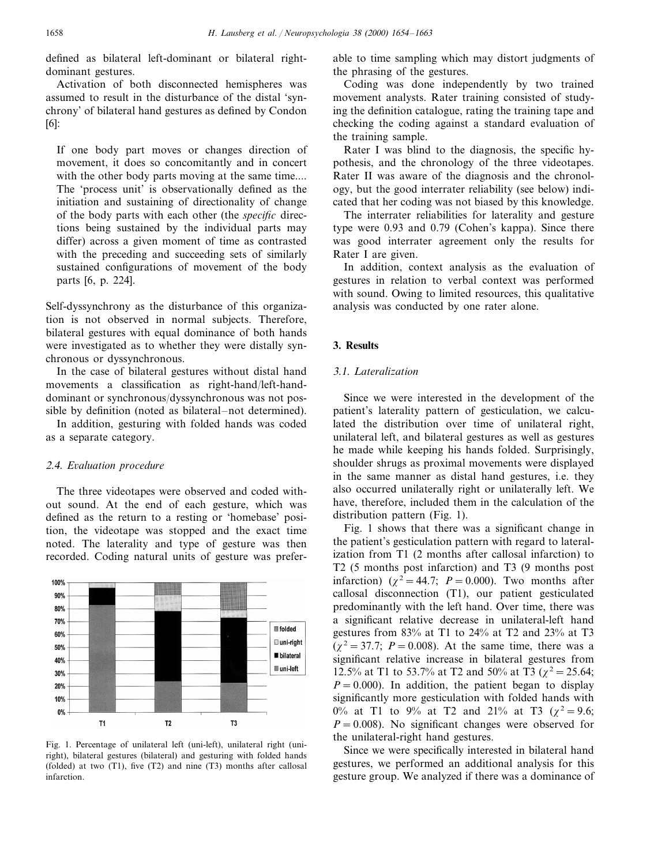defined as bilateral left-dominant or bilateral rightdominant gestures.

Activation of both disconnected hemispheres was assumed to result in the disturbance of the distal 'synchrony' of bilateral hand gestures as defined by Condon [6]:

If one body part moves or changes direction of movement, it does so concomitantly and in concert with the other body parts moving at the same time.... The 'process unit' is observationally defined as the initiation and sustaining of directionality of change of the body parts with each other (the *specific* directions being sustained by the individual parts may differ) across a given moment of time as contrasted with the preceding and succeeding sets of similarly sustained configurations of movement of the body parts [6, p. 224].

Self-dyssynchrony as the disturbance of this organization is not observed in normal subjects. Therefore, bilateral gestures with equal dominance of both hands were investigated as to whether they were distally synchronous or dyssynchronous.

In the case of bilateral gestures without distal hand movements a classification as right-hand/left-handdominant or synchronous/dyssynchronous was not possible by definition (noted as bilateral–not determined).

In addition, gesturing with folded hands was coded as a separate category.

## 2.4. *Evaluation procedure*

The three videotapes were observed and coded without sound. At the end of each gesture, which was defined as the return to a resting or 'homebase' position, the videotape was stopped and the exact time noted. The laterality and type of gesture was then recorded. Coding natural units of gesture was prefer-



Fig. 1. Percentage of unilateral left (uni-left), unilateral right (uniright), bilateral gestures (bilateral) and gesturing with folded hands (folded) at two  $(T1)$ , five  $(T2)$  and nine  $(T3)$  months after callosal infarction.

able to time sampling which may distort judgments of the phrasing of the gestures.

Coding was done independently by two trained movement analysts. Rater training consisted of studying the definition catalogue, rating the training tape and checking the coding against a standard evaluation of the training sample.

Rater I was blind to the diagnosis, the specific hypothesis, and the chronology of the three videotapes. Rater II was aware of the diagnosis and the chronology, but the good interrater reliability (see below) indicated that her coding was not biased by this knowledge.

The interrater reliabilities for laterality and gesture type were 0.93 and 0.79 (Cohen's kappa). Since there was good interrater agreement only the results for Rater I are given.

In addition, context analysis as the evaluation of gestures in relation to verbal context was performed with sound. Owing to limited resources, this qualitative analysis was conducted by one rater alone.

## **3. Results**

## 3.1. *Lateralization*

Since we were interested in the development of the patient's laterality pattern of gesticulation, we calculated the distribution over time of unilateral right, unilateral left, and bilateral gestures as well as gestures he made while keeping his hands folded. Surprisingly, shoulder shrugs as proximal movements were displayed in the same manner as distal hand gestures, i.e. they also occurred unilaterally right or unilaterally left. We have, therefore, included them in the calculation of the distribution pattern (Fig. 1).

Fig. 1 shows that there was a significant change in the patient's gesticulation pattern with regard to lateralization from T1 (2 months after callosal infarction) to T2 (5 months post infarction) and T3 (9 months post infarction) ( $\chi^2$  = 44.7; *P* = 0.000). Two months after callosal disconnection (T1), our patient gesticulated predominantly with the left hand. Over time, there was a significant relative decrease in unilateral-left hand gestures from 83% at T1 to 24% at T2 and 23% at T3  $(\chi^2 = 37.7; P = 0.008)$ . At the same time, there was a significant relative increase in bilateral gestures from 12.5% at T1 to 53.7% at T2 and 50% at T3 ( $\chi^2$  = 25.64;  $P = 0.000$ ). In addition, the patient began to display significantly more gesticulation with folded hands with 0% at T1 to 9% at T2 and 21% at T3 ( $\chi^2 = 9.6$ ;  $P = 0.008$ ). No significant changes were observed for the unilateral-right hand gestures.

Since we were specifically interested in bilateral hand gestures, we performed an additional analysis for this gesture group. We analyzed if there was a dominance of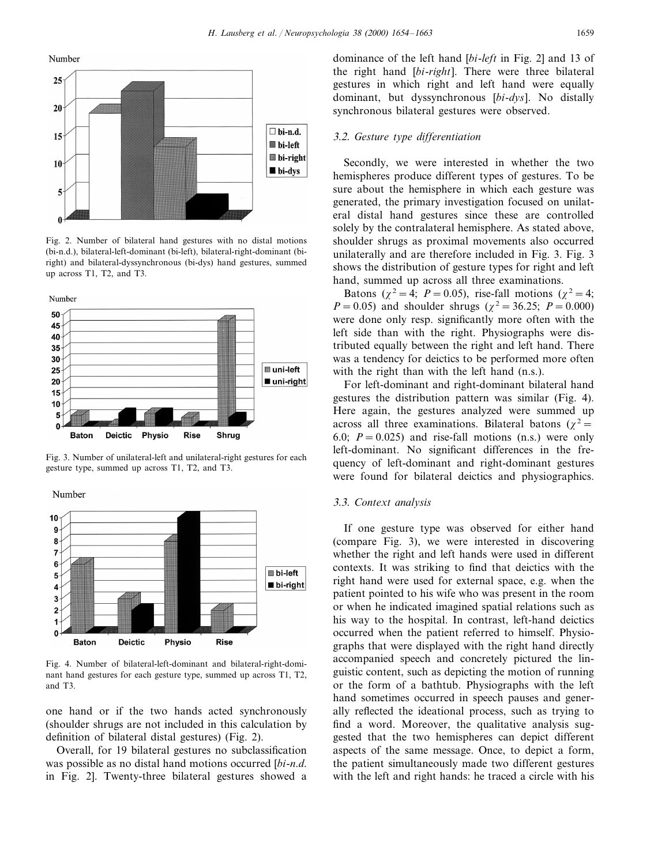

Fig. 2. Number of bilateral hand gestures with no distal motions (bi-n.d.), bilateral-left-dominant (bi-left), bilateral-right-dominant (biright) and bilateral-dyssynchronous (bi-dys) hand gestures, summed up across T1, T2, and T3.



Fig. 3. Number of unilateral-left and unilateral-right gestures for each gesture type, summed up across T1, T2, and T3.

Number



Fig. 4. Number of bilateral-left-dominant and bilateral-right-dominant hand gestures for each gesture type, summed up across T1, T2, and T3.

one hand or if the two hands acted synchronously (shoulder shrugs are not included in this calculation by definition of bilateral distal gestures) (Fig. 2).

Overall, for 19 bilateral gestures no subclassification was possible as no distal hand motions occurred [*bi*-*n*.*d*. in Fig. 2]. Twenty-three bilateral gestures showed a dominance of the left hand [*bi*-*left* in Fig. 2] and 13 of the right hand [*bi*-*right*]. There were three bilateral gestures in which right and left hand were equally dominant, but dyssynchronous [*bi*-*dys*]. No distally synchronous bilateral gestures were observed.

#### 3.2. *Gesture type differentiation*

Secondly, we were interested in whether the two hemispheres produce different types of gestures. To be sure about the hemisphere in which each gesture was generated, the primary investigation focused on unilateral distal hand gestures since these are controlled solely by the contralateral hemisphere. As stated above, shoulder shrugs as proximal movements also occurred unilaterally and are therefore included in Fig. 3. Fig. 3 shows the distribution of gesture types for right and left hand, summed up across all three examinations.

Batons ( $\chi^2 = 4$ ; *P* = 0.05), rise-fall motions ( $\chi^2 = 4$ ; *P* = 0.05) and shoulder shrugs ( $\chi^2$  = 36.25; *P* = 0.000) were done only resp. significantly more often with the left side than with the right. Physiographs were distributed equally between the right and left hand. There was a tendency for deictics to be performed more often with the right than with the left hand  $(n.s.).$ 

For left-dominant and right-dominant bilateral hand gestures the distribution pattern was similar (Fig. 4). Here again, the gestures analyzed were summed up across all three examinations. Bilateral batons ( $\chi^2$  = 6.0;  $P = 0.025$ ) and rise-fall motions (n.s.) were only left-dominant. No significant differences in the frequency of left-dominant and right-dominant gestures were found for bilateral deictics and physiographics.

#### 3.3. *Context analysis*

If one gesture type was observed for either hand (compare Fig. 3), we were interested in discovering whether the right and left hands were used in different contexts. It was striking to find that deictics with the right hand were used for external space, e.g. when the patient pointed to his wife who was present in the room or when he indicated imagined spatial relations such as his way to the hospital. In contrast, left-hand deictics occurred when the patient referred to himself. Physiographs that were displayed with the right hand directly accompanied speech and concretely pictured the linguistic content, such as depicting the motion of running or the form of a bathtub. Physiographs with the left hand sometimes occurred in speech pauses and generally reflected the ideational process, such as trying to find a word. Moreover, the qualitative analysis suggested that the two hemispheres can depict different aspects of the same message. Once, to depict a form, the patient simultaneously made two different gestures with the left and right hands: he traced a circle with his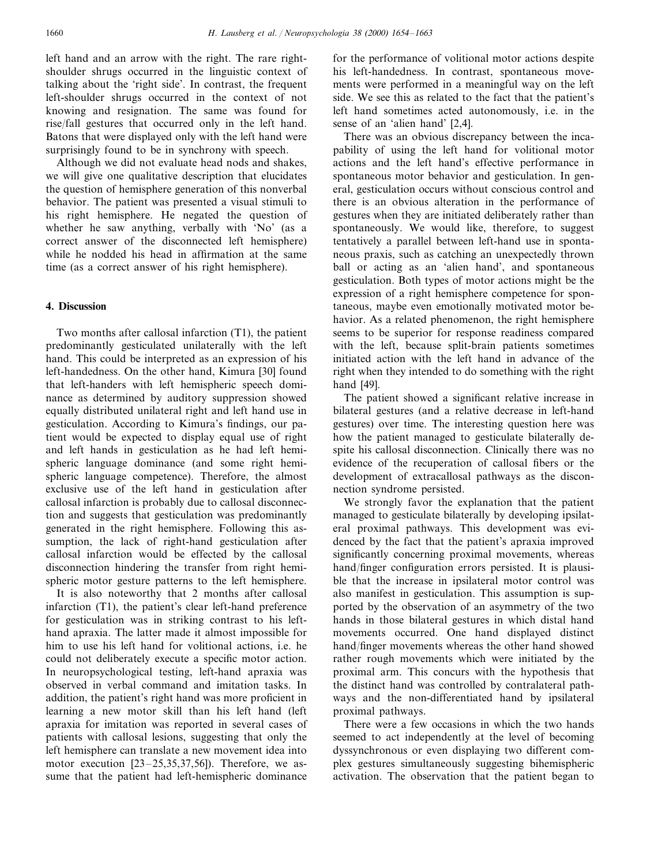left hand and an arrow with the right. The rare rightshoulder shrugs occurred in the linguistic context of talking about the 'right side'. In contrast, the frequent left-shoulder shrugs occurred in the context of not knowing and resignation. The same was found for rise/fall gestures that occurred only in the left hand. Batons that were displayed only with the left hand were surprisingly found to be in synchrony with speech.

Although we did not evaluate head nods and shakes, we will give one qualitative description that elucidates the question of hemisphere generation of this nonverbal behavior. The patient was presented a visual stimuli to his right hemisphere. He negated the question of whether he saw anything, verbally with 'No' (as a correct answer of the disconnected left hemisphere) while he nodded his head in affirmation at the same time (as a correct answer of his right hemisphere).

## **4. Discussion**

Two months after callosal infarction (T1), the patient predominantly gesticulated unilaterally with the left hand. This could be interpreted as an expression of his left-handedness. On the other hand, Kimura [30] found that left-handers with left hemispheric speech dominance as determined by auditory suppression showed equally distributed unilateral right and left hand use in gesticulation. According to Kimura's findings, our patient would be expected to display equal use of right and left hands in gesticulation as he had left hemispheric language dominance (and some right hemispheric language competence). Therefore, the almost exclusive use of the left hand in gesticulation after callosal infarction is probably due to callosal disconnection and suggests that gesticulation was predominantly generated in the right hemisphere. Following this assumption, the lack of right-hand gesticulation after callosal infarction would be effected by the callosal disconnection hindering the transfer from right hemispheric motor gesture patterns to the left hemisphere.

It is also noteworthy that 2 months after callosal infarction (T1), the patient's clear left-hand preference for gesticulation was in striking contrast to his lefthand apraxia. The latter made it almost impossible for him to use his left hand for volitional actions, i.e. he could not deliberately execute a specific motor action. In neuropsychological testing, left-hand apraxia was observed in verbal command and imitation tasks. In addition, the patient's right hand was more proficient in learning a new motor skill than his left hand (left apraxia for imitation was reported in several cases of patients with callosal lesions, suggesting that only the left hemisphere can translate a new movement idea into motor execution [23–25,35,37,56]). Therefore, we assume that the patient had left-hemispheric dominance

for the performance of volitional motor actions despite his left-handedness. In contrast, spontaneous movements were performed in a meaningful way on the left side. We see this as related to the fact that the patient's left hand sometimes acted autonomously, i.e. in the sense of an 'alien hand' [2,4].

There was an obvious discrepancy between the incapability of using the left hand for volitional motor actions and the left hand's effective performance in spontaneous motor behavior and gesticulation. In general, gesticulation occurs without conscious control and there is an obvious alteration in the performance of gestures when they are initiated deliberately rather than spontaneously. We would like, therefore, to suggest tentatively a parallel between left-hand use in spontaneous praxis, such as catching an unexpectedly thrown ball or acting as an 'alien hand', and spontaneous gesticulation. Both types of motor actions might be the expression of a right hemisphere competence for spontaneous, maybe even emotionally motivated motor behavior. As a related phenomenon, the right hemisphere seems to be superior for response readiness compared with the left, because split-brain patients sometimes initiated action with the left hand in advance of the right when they intended to do something with the right hand [49].

The patient showed a significant relative increase in bilateral gestures (and a relative decrease in left-hand gestures) over time. The interesting question here was how the patient managed to gesticulate bilaterally despite his callosal disconnection. Clinically there was no evidence of the recuperation of callosal fibers or the development of extracallosal pathways as the disconnection syndrome persisted.

We strongly favor the explanation that the patient managed to gesticulate bilaterally by developing ipsilateral proximal pathways. This development was evidenced by the fact that the patient's apraxia improved significantly concerning proximal movements, whereas hand/finger configuration errors persisted. It is plausible that the increase in ipsilateral motor control was also manifest in gesticulation. This assumption is supported by the observation of an asymmetry of the two hands in those bilateral gestures in which distal hand movements occurred. One hand displayed distinct hand/finger movements whereas the other hand showed rather rough movements which were initiated by the proximal arm. This concurs with the hypothesis that the distinct hand was controlled by contralateral pathways and the non-differentiated hand by ipsilateral proximal pathways.

There were a few occasions in which the two hands seemed to act independently at the level of becoming dyssynchronous or even displaying two different complex gestures simultaneously suggesting bihemispheric activation. The observation that the patient began to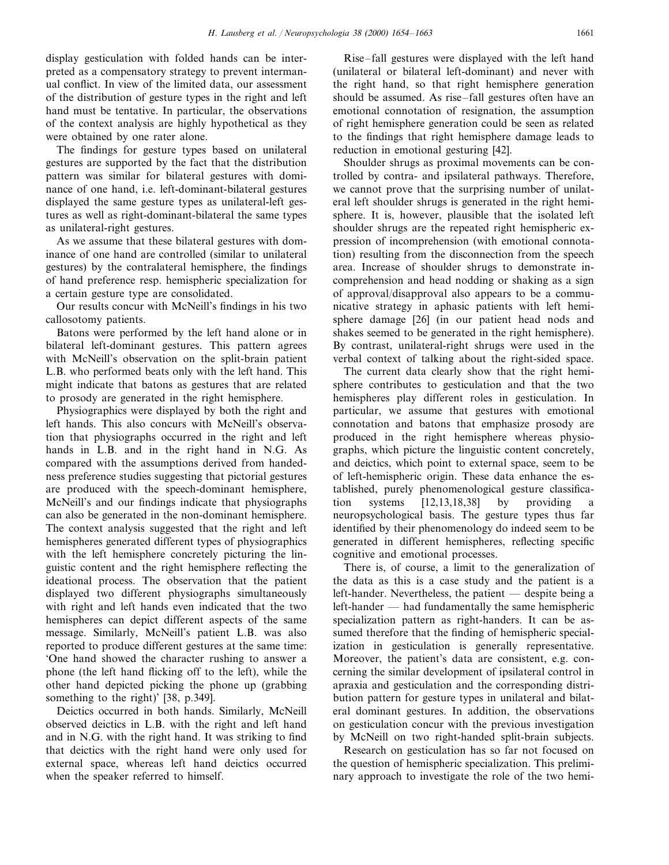display gesticulation with folded hands can be interpreted as a compensatory strategy to prevent intermanual conflict. In view of the limited data, our assessment of the distribution of gesture types in the right and left hand must be tentative. In particular, the observations of the context analysis are highly hypothetical as they were obtained by one rater alone.

The findings for gesture types based on unilateral gestures are supported by the fact that the distribution pattern was similar for bilateral gestures with dominance of one hand, i.e. left-dominant-bilateral gestures displayed the same gesture types as unilateral-left gestures as well as right-dominant-bilateral the same types as unilateral-right gestures.

As we assume that these bilateral gestures with dominance of one hand are controlled (similar to unilateral gestures) by the contralateral hemisphere, the findings of hand preference resp. hemispheric specialization for a certain gesture type are consolidated.

Our results concur with McNeill's findings in his two callosotomy patients.

Batons were performed by the left hand alone or in bilateral left-dominant gestures. This pattern agrees with McNeill's observation on the split-brain patient L.B. who performed beats only with the left hand. This might indicate that batons as gestures that are related to prosody are generated in the right hemisphere.

Physiographics were displayed by both the right and left hands. This also concurs with McNeill's observation that physiographs occurred in the right and left hands in L.B. and in the right hand in N.G. As compared with the assumptions derived from handedness preference studies suggesting that pictorial gestures are produced with the speech-dominant hemisphere, McNeill's and our findings indicate that physiographs can also be generated in the non-dominant hemisphere. The context analysis suggested that the right and left hemispheres generated different types of physiographics with the left hemisphere concretely picturing the linguistic content and the right hemisphere reflecting the ideational process. The observation that the patient displayed two different physiographs simultaneously with right and left hands even indicated that the two hemispheres can depict different aspects of the same message. Similarly, McNeill's patient L.B. was also reported to produce different gestures at the same time: 'One hand showed the character rushing to answer a phone (the left hand flicking off to the left), while the other hand depicted picking the phone up (grabbing something to the right)' [38, p.349].

Deictics occurred in both hands. Similarly, McNeill observed deictics in L.B. with the right and left hand and in N.G. with the right hand. It was striking to find that deictics with the right hand were only used for external space, whereas left hand deictics occurred when the speaker referred to himself.

Rise–fall gestures were displayed with the left hand (unilateral or bilateral left-dominant) and never with the right hand, so that right hemisphere generation should be assumed. As rise–fall gestures often have an emotional connotation of resignation, the assumption of right hemisphere generation could be seen as related to the findings that right hemisphere damage leads to reduction in emotional gesturing [42].

Shoulder shrugs as proximal movements can be controlled by contra- and ipsilateral pathways. Therefore, we cannot prove that the surprising number of unilateral left shoulder shrugs is generated in the right hemisphere. It is, however, plausible that the isolated left shoulder shrugs are the repeated right hemispheric expression of incomprehension (with emotional connotation) resulting from the disconnection from the speech area. Increase of shoulder shrugs to demonstrate incomprehension and head nodding or shaking as a sign of approval/disapproval also appears to be a communicative strategy in aphasic patients with left hemisphere damage [26] (in our patient head nods and shakes seemed to be generated in the right hemisphere). By contrast, unilateral-right shrugs were used in the verbal context of talking about the right-sided space.

The current data clearly show that the right hemisphere contributes to gesticulation and that the two hemispheres play different roles in gesticulation. In particular, we assume that gestures with emotional connotation and batons that emphasize prosody are produced in the right hemisphere whereas physiographs, which picture the linguistic content concretely, and deictics, which point to external space, seem to be of left-hemispheric origin. These data enhance the established, purely phenomenological gesture classification systems [12,13,18,38] by providing a neuropsychological basis. The gesture types thus far identified by their phenomenology do indeed seem to be generated in different hemispheres, reflecting specific cognitive and emotional processes.

There is, of course, a limit to the generalization of the data as this is a case study and the patient is a left-hander. Nevertheless, the patient — despite being a left-hander — had fundamentally the same hemispheric specialization pattern as right-handers. It can be assumed therefore that the finding of hemispheric specialization in gesticulation is generally representative. Moreover, the patient's data are consistent, e.g. concerning the similar development of ipsilateral control in apraxia and gesticulation and the corresponding distribution pattern for gesture types in unilateral and bilateral dominant gestures. In addition, the observations on gesticulation concur with the previous investigation by McNeill on two right-handed split-brain subjects.

Research on gesticulation has so far not focused on the question of hemispheric specialization. This preliminary approach to investigate the role of the two hemi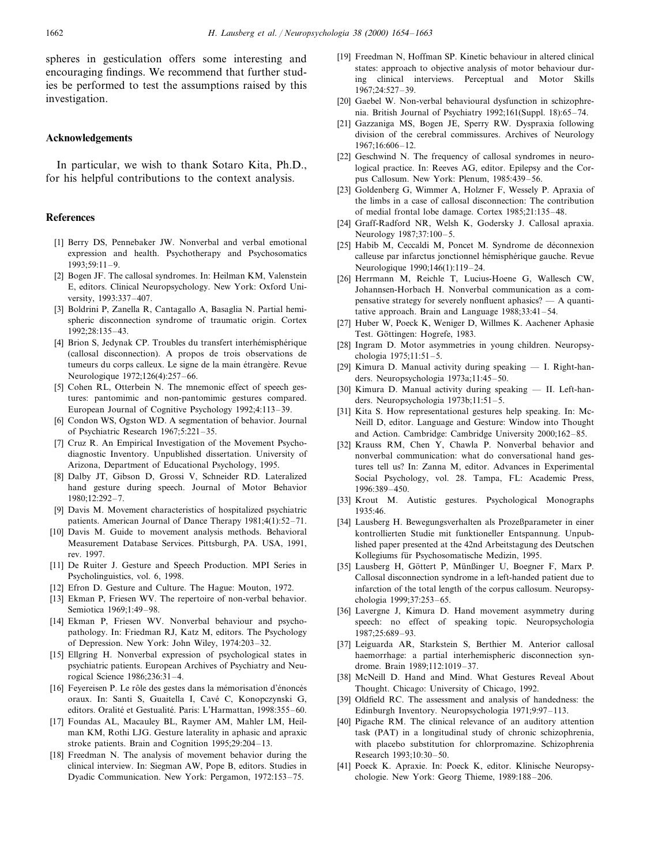spheres in gesticulation offers some interesting and encouraging findings. We recommend that further studies be performed to test the assumptions raised by this investigation.

## **Acknowledgements**

In particular, we wish to thank Sotaro Kita, Ph.D., for his helpful contributions to the context analysis.

#### **References**

- [1] Berry DS, Pennebaker JW. Nonverbal and verbal emotional expression and health. Psychotherapy and Psychosomatics 1993;59:11–9.
- [2] Bogen JF. The callosal syndromes. In: Heilman KM, Valenstein E, editors. Clinical Neuropsychology. New York: Oxford University, 1993:337–407.
- [3] Boldrini P, Zanella R, Cantagallo A, Basaglia N. Partial hemispheric disconnection syndrome of traumatic origin. Cortex 1992;28:135–43.
- [4] Brion S, Jedynak CP. Troubles du transfert interhémisphérique (callosal disconnection). A propos de trois observations de tumeurs du corps calleux. Le signe de la main étrangère. Revue Neurologique 1972;126(4):257–66.
- [5] Cohen RL, Otterbein N. The mnemonic effect of speech gestures: pantomimic and non-pantomimic gestures compared. European Journal of Cognitive Psychology 1992;4:113–39.
- [6] Condon WS, Ogston WD. A segmentation of behavior. Journal of Psychiatric Research 1967;5:221–35.
- [7] Cruz R. An Empirical Investigation of the Movement Psychodiagnostic Inventory. Unpublished dissertation. University of Arizona, Department of Educational Psychology, 1995.
- [8] Dalby JT, Gibson D, Grossi V, Schneider RD. Lateralized hand gesture during speech. Journal of Motor Behavior 1980;12:292–7.
- [9] Davis M. Movement characteristics of hospitalized psychiatric patients. American Journal of Dance Therapy 1981;4(1):52–71.
- [10] Davis M. Guide to movement analysis methods. Behavioral Measurement Database Services. Pittsburgh, PA. USA, 1991, rev. 1997.
- [11] De Ruiter J. Gesture and Speech Production. MPI Series in Psycholinguistics, vol. 6, 1998.
- [12] Efron D. Gesture and Culture. The Hague: Mouton, 1972.
- [13] Ekman P, Friesen WV. The repertoire of non-verbal behavior. Semiotica 1969;1:49–98.
- [14] Ekman P, Friesen WV. Nonverbal behaviour and psychopathology. In: Friedman RJ, Katz M, editors. The Psychology of Depression. New York: John Wiley, 1974:203–32.
- [15] Ellgring H. Nonverbal expression of psychological states in psychiatric patients. European Archives of Psychiatry and Neurogical Science 1986;236:31–4.
- [16] Feyereisen P. Le rôle des gestes dans la mémorisation d'énoncés oraux. In: Santi S, Guaitella I, Cave´ C, Konopczynski G, editors. Oralité et Gestualité. Paris: L'Harmattan, 1998:355-60.
- [17] Foundas AL, Macauley BL, Raymer AM, Mahler LM, Heilman KM, Rothi LJG. Gesture laterality in aphasic and apraxic stroke patients. Brain and Cognition 1995;29:204–13.
- [18] Freedman N. The analysis of movement behavior during the clinical interview. In: Siegman AW, Pope B, editors. Studies in Dyadic Communication. New York: Pergamon, 1972:153–75.
- [19] Freedman N, Hoffman SP. Kinetic behaviour in altered clinical states: approach to objective analysis of motor behaviour during clinical interviews. Perceptual and Motor Skills 1967;24:527–39.
- [20] Gaebel W. Non-verbal behavioural dysfunction in schizophrenia. British Journal of Psychiatry 1992;161(Suppl. 18):65–74.
- [21] Gazzaniga MS, Bogen JE, Sperry RW. Dyspraxia following division of the cerebral commissures. Archives of Neurology 1967;16:606–12.
- [22] Geschwind N. The frequency of callosal syndromes in neurological practice. In: Reeves AG, editor. Epilepsy and the Corpus Callosum. New York: Plenum, 1985:439–56.
- [23] Goldenberg G, Wimmer A, Holzner F, Wessely P. Apraxia of the limbs in a case of callosal disconnection: The contribution of medial frontal lobe damage. Cortex 1985;21:135–48.
- [24] Graff-Radford NR, Welsh K, Godersky J. Callosal apraxia. Neurology 1987;37:100–5.
- [25] Habib M, Ceccaldi M, Poncet M. Syndrome de déconnexion calleuse par infarctus jonctionnel hémisphérique gauche. Revue Neurologique 1990;146(1):119–24.
- [26] Herrmann M, Reichle T, Lucius-Hoene G, Wallesch CW, Johannsen-Horbach H. Nonverbal communication as a compensative strategy for severely nonfluent aphasics? — A quantitative approach. Brain and Language 1988;33:41–54.
- [27] Huber W, Poeck K, Weniger D, Willmes K. Aachener Aphasie Test. Göttingen: Hogrefe, 1983.
- [28] Ingram D. Motor asymmetries in young children. Neuropsychologia 1975;11:51–5.
- [29] Kimura D. Manual activity during speaking I. Right-handers. Neuropsychologia 1973a;11:45–50.
- [30] Kimura D. Manual activity during speaking II. Left-handers. Neuropsychologia 1973b;11:51–5.
- [31] Kita S. How representational gestures help speaking. In: Mc-Neill D, editor. Language and Gesture: Window into Thought and Action. Cambridge: Cambridge University 2000;162–85.
- [32] Krauss RM, Chen Y, Chawla P. Nonverbal behavior and nonverbal communication: what do conversational hand gestures tell us? In: Zanna M, editor. Advances in Experimental Social Psychology, vol. 28. Tampa, FL: Academic Press, 1996:389–450.
- [33] Krout M. Autistic gestures. Psychological Monographs 1935:46.
- [34] Lausberg H. Bewegungsverhalten als Prozeßparameter in einer kontrollierten Studie mit funktioneller Entspannung. Unpublished paper presented at the 42nd Arbeitstagung des Deutschen Kollegiums für Psychosomatische Medizin, 1995.
- [35] Lausberg H, Göttert P, Münßinger U, Boegner F, Marx P. Callosal disconnection syndrome in a left-handed patient due to infarction of the total length of the corpus callosum. Neuropsychologia 1999;37:253–65.
- [36] Lavergne J, Kimura D. Hand movement asymmetry during speech: no effect of speaking topic. Neuropsychologia 1987;25:689–93.
- [37] Leiguarda AR, Starkstein S, Berthier M. Anterior callosal haemorrhage: a partial interhemispheric disconnection syndrome. Brain 1989;112:1019–37.
- [38] McNeill D. Hand and Mind. What Gestures Reveal About Thought. Chicago: University of Chicago, 1992.
- [39] Oldfield RC. The assessment and analysis of handedness: the Edinburgh Inventory. Neuropsychologia 1971;9:97–113.
- [40] Pigache RM. The clinical relevance of an auditory attention task (PAT) in a longitudinal study of chronic schizophrenia, with placebo substitution for chlorpromazine. Schizophrenia Research 1993;10:30–50.
- [41] Poeck K. Apraxie. In: Poeck K, editor. Klinische Neuropsychologie. New York: Georg Thieme, 1989:188–206.